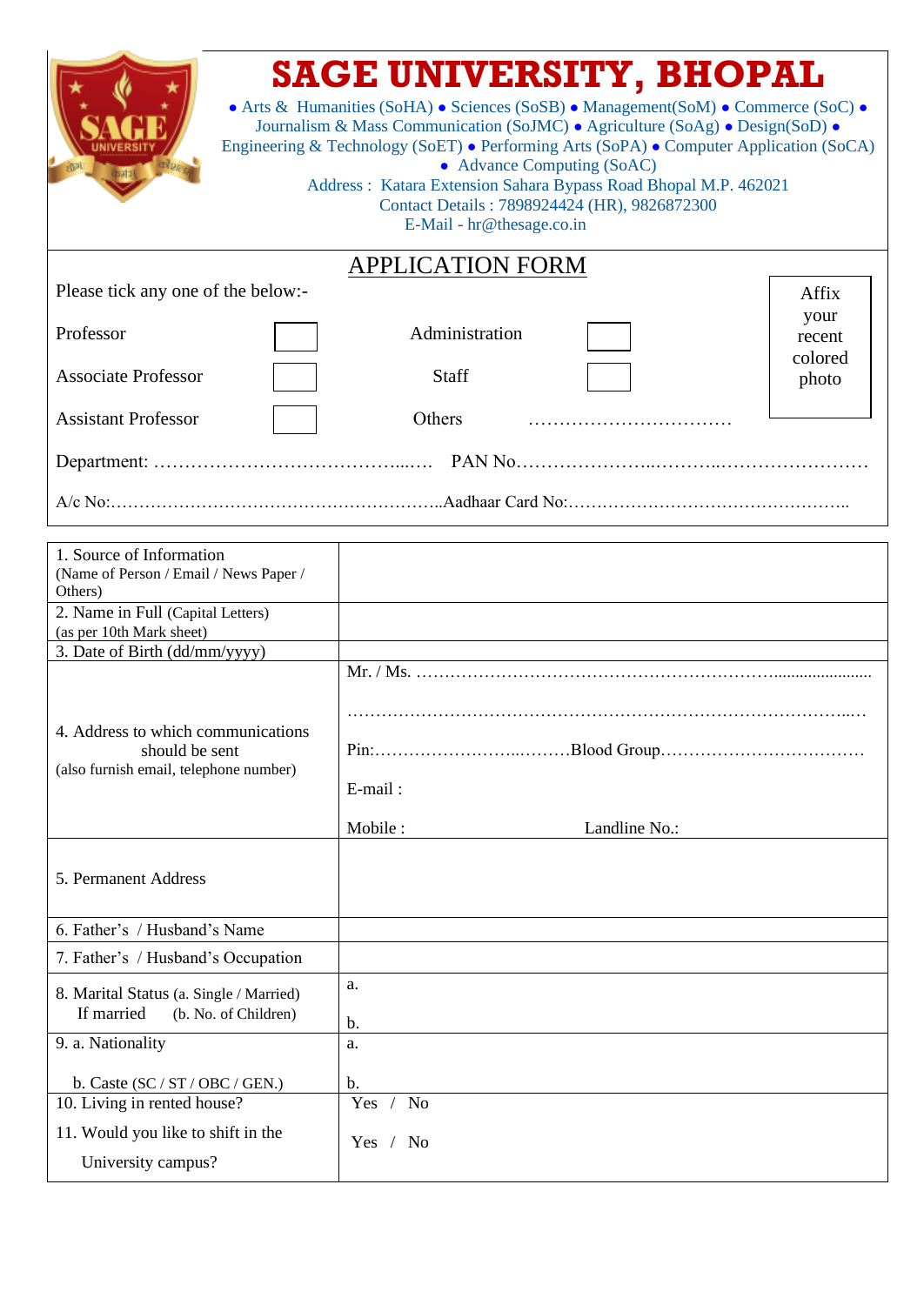|                                    | <b>SAGE UNIVERSITY, BHOPAL</b><br>• Arts & Humanities (SoHA) • Sciences (SoSB) • Management(SoM) • Commerce (SoC) •<br>Journalism & Mass Communication (SoJMC) • Agriculture (SoAg) • Design(SoD) •<br>Engineering & Technology (SoET) • Performing Arts (SoPA) • Computer Application (SoCA)<br>• Advance Computing (SoAC)<br>Address: Katara Extension Sahara Bypass Road Bhopal M.P. 462021<br>Contact Details: 7898924424 (HR), 9826872300<br>E-Mail - hr@thesage.co.in |                  |  |  |
|------------------------------------|-----------------------------------------------------------------------------------------------------------------------------------------------------------------------------------------------------------------------------------------------------------------------------------------------------------------------------------------------------------------------------------------------------------------------------------------------------------------------------|------------------|--|--|
|                                    | <b>APPLICATION FORM</b>                                                                                                                                                                                                                                                                                                                                                                                                                                                     |                  |  |  |
| Please tick any one of the below:- |                                                                                                                                                                                                                                                                                                                                                                                                                                                                             | Affix            |  |  |
| Professor                          | Administration                                                                                                                                                                                                                                                                                                                                                                                                                                                              | your<br>recent   |  |  |
| <b>Associate Professor</b>         | <b>Staff</b>                                                                                                                                                                                                                                                                                                                                                                                                                                                                | colored<br>photo |  |  |
| <b>Assistant Professor</b>         | Others                                                                                                                                                                                                                                                                                                                                                                                                                                                                      |                  |  |  |
|                                    |                                                                                                                                                                                                                                                                                                                                                                                                                                                                             |                  |  |  |
|                                    |                                                                                                                                                                                                                                                                                                                                                                                                                                                                             |                  |  |  |

| 1. Source of Information                                                      |                          |
|-------------------------------------------------------------------------------|--------------------------|
| (Name of Person / Email / News Paper /                                        |                          |
| Others)                                                                       |                          |
| 2. Name in Full (Capital Letters)                                             |                          |
| (as per 10th Mark sheet)                                                      |                          |
| 3. Date of Birth (dd/mm/yyyy)                                                 |                          |
| 4. Address to which communications<br>should be sent                          |                          |
| (also furnish email, telephone number)                                        | E-mail:                  |
|                                                                               | Mobile:<br>Landline No.: |
| 5. Permanent Address                                                          |                          |
| 6. Father's / Husband's Name                                                  |                          |
| 7. Father's / Husband's Occupation                                            |                          |
| 8. Marital Status (a. Single / Married)<br>If married<br>(b. No. of Children) | a.<br>b.                 |
| 9. a. Nationality                                                             | a.                       |
| b. Caste $(SC / ST / OBC / GEN.)$                                             | b.                       |
| 10. Living in rented house?                                                   | Yes / No                 |
| 11. Would you like to shift in the                                            | Yes / No                 |
| University campus?                                                            |                          |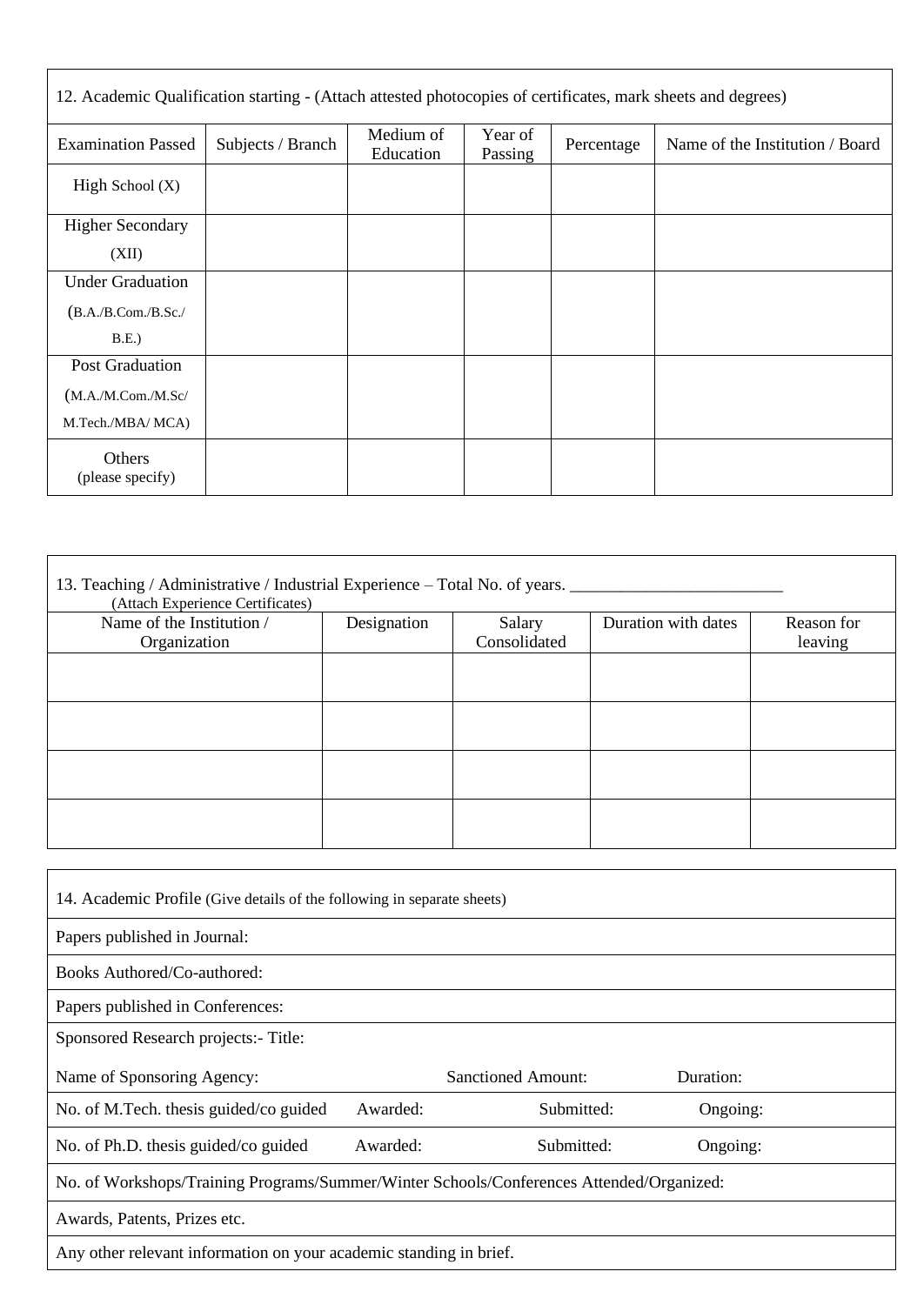| 12. Academic Qualification starting - (Attach attested photocopies of certificates, mark sheets and degrees) |                   |                        |                    |            |                                 |
|--------------------------------------------------------------------------------------------------------------|-------------------|------------------------|--------------------|------------|---------------------------------|
| <b>Examination Passed</b>                                                                                    | Subjects / Branch | Medium of<br>Education | Year of<br>Passing | Percentage | Name of the Institution / Board |
| High School $(X)$                                                                                            |                   |                        |                    |            |                                 |
| <b>Higher Secondary</b>                                                                                      |                   |                        |                    |            |                                 |
| (XII)                                                                                                        |                   |                        |                    |            |                                 |
| <b>Under Graduation</b>                                                                                      |                   |                        |                    |            |                                 |
| (B.A./B.Com./B.Sc./                                                                                          |                   |                        |                    |            |                                 |
| B.E.                                                                                                         |                   |                        |                    |            |                                 |
| Post Graduation                                                                                              |                   |                        |                    |            |                                 |
| (M.A.M.Com.M.Sc/                                                                                             |                   |                        |                    |            |                                 |
| M.Tech./MBA/ MCA)                                                                                            |                   |                        |                    |            |                                 |
| Others<br>(please specify)                                                                                   |                   |                        |                    |            |                                 |

| 13. Teaching / Administrative / Industrial Experience - Total No. of years. _____<br>(Attach Experience Certificates) |             |              |                     |            |
|-----------------------------------------------------------------------------------------------------------------------|-------------|--------------|---------------------|------------|
| Name of the Institution /                                                                                             | Designation | Salary       | Duration with dates | Reason for |
| Organization                                                                                                          |             | Consolidated |                     | leaving    |
|                                                                                                                       |             |              |                     |            |
|                                                                                                                       |             |              |                     |            |
|                                                                                                                       |             |              |                     |            |
|                                                                                                                       |             |              |                     |            |
|                                                                                                                       |             |              |                     |            |
|                                                                                                                       |             |              |                     |            |

| 14. Academic Profile (Give details of the following in separate sheets)                  |          |                           |           |  |  |
|------------------------------------------------------------------------------------------|----------|---------------------------|-----------|--|--|
| Papers published in Journal:                                                             |          |                           |           |  |  |
| Books Authored/Co-authored:                                                              |          |                           |           |  |  |
| Papers published in Conferences:                                                         |          |                           |           |  |  |
| Sponsored Research projects: - Title:                                                    |          |                           |           |  |  |
| Name of Sponsoring Agency:                                                               |          | <b>Sanctioned Amount:</b> | Duration: |  |  |
| No. of M.Tech. thesis guided/co guided                                                   | Awarded: | Submitted:                | Ongoing:  |  |  |
| No. of Ph.D. thesis guided/co guided                                                     | Awarded: | Submitted:                | Ongoing:  |  |  |
| No. of Workshops/Training Programs/Summer/Winter Schools/Conferences Attended/Organized: |          |                           |           |  |  |
| Awards, Patents, Prizes etc.                                                             |          |                           |           |  |  |
| Any other relevant information on your academic standing in brief.                       |          |                           |           |  |  |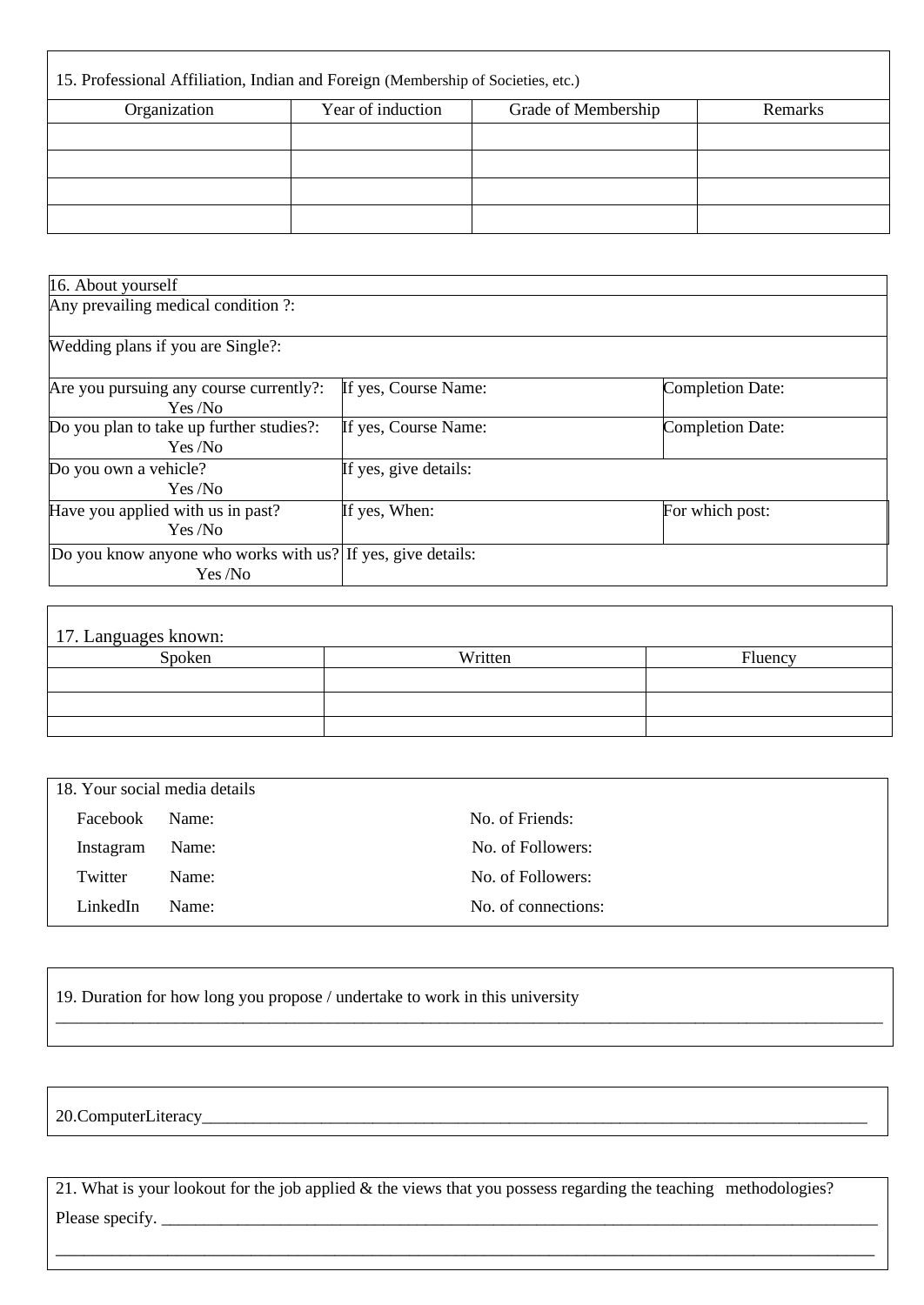| 15. Professional Affiliation, Indian and Foreign (Membership of Societies, etc.) |                   |                     |         |  |
|----------------------------------------------------------------------------------|-------------------|---------------------|---------|--|
| Organization                                                                     | Year of induction | Grade of Membership | Remarks |  |
|                                                                                  |                   |                     |         |  |
|                                                                                  |                   |                     |         |  |
|                                                                                  |                   |                     |         |  |
|                                                                                  |                   |                     |         |  |

| 16. About yourself                                          |                       |                         |  |
|-------------------------------------------------------------|-----------------------|-------------------------|--|
| Any prevailing medical condition ?:                         |                       |                         |  |
|                                                             |                       |                         |  |
| Wedding plans if you are Single?:                           |                       |                         |  |
|                                                             | If yes, Course Name:  | <b>Completion Date:</b> |  |
| Are you pursuing any course currently?:<br>Yes /No          |                       |                         |  |
| Do you plan to take up further studies?:                    | If yes, Course Name:  | <b>Completion Date:</b> |  |
| Yes /No                                                     |                       |                         |  |
| Do you own a vehicle?                                       | If yes, give details: |                         |  |
| Yes /No                                                     |                       |                         |  |
| Have you applied with us in past?                           | If yes, When:         | For which post:         |  |
| Yes /No                                                     |                       |                         |  |
| Do you know anyone who works with us? If yes, give details: |                       |                         |  |
| Yes/No                                                      |                       |                         |  |

| 17. Languages known: |         |         |  |  |
|----------------------|---------|---------|--|--|
| Spoken               | Written | Fluency |  |  |
|                      |         |         |  |  |
|                      |         |         |  |  |
|                      |         |         |  |  |

| 18. Your social media details |       |                     |
|-------------------------------|-------|---------------------|
| Facebook                      | Name: | No. of Friends:     |
| Instagram                     | Name: | No. of Followers:   |
| Twitter                       | Name: | No. of Followers:   |
| LinkedIn                      | Name: | No. of connections: |

\_\_\_\_\_\_\_\_\_\_\_\_\_\_\_\_\_\_\_\_\_\_\_\_\_\_\_\_\_\_\_\_\_\_\_\_\_\_\_\_\_\_\_\_\_\_\_\_\_\_\_\_\_\_\_\_\_\_\_\_\_\_\_\_\_\_\_\_\_\_\_\_\_\_\_\_\_\_\_\_\_\_\_\_\_\_\_\_\_\_\_\_\_\_\_\_\_

19. Duration for how long you propose / undertake to work in this university

20.ComputerLiteracy\_\_\_\_\_\_\_\_\_\_\_\_\_\_\_\_\_\_\_\_\_\_\_\_\_\_\_\_\_\_\_\_\_\_\_\_\_\_\_\_\_\_\_\_\_\_\_\_\_\_\_\_\_\_\_\_\_\_\_\_\_\_\_\_\_\_\_\_\_\_\_\_\_\_\_\_\_\_

 $\mathsf{r}$ 

21. What is your lookout for the job applied & the views that you possess regarding the teaching methodologies? Please specify. \_\_\_\_\_\_\_\_\_\_\_\_\_\_\_\_\_\_\_\_\_\_\_\_\_\_\_\_\_\_\_\_\_\_\_\_\_\_\_\_\_\_\_\_\_\_\_\_\_\_\_\_\_\_\_\_\_\_\_\_\_\_\_\_\_\_\_\_\_\_\_\_\_\_\_\_\_\_\_\_\_\_\_\_

\_\_\_\_\_\_\_\_\_\_\_\_\_\_\_\_\_\_\_\_\_\_\_\_\_\_\_\_\_\_\_\_\_\_\_\_\_\_\_\_\_\_\_\_\_\_\_\_\_\_\_\_\_\_\_\_\_\_\_\_\_\_\_\_\_\_\_\_\_\_\_\_\_\_\_\_\_\_\_\_\_\_\_\_\_\_\_\_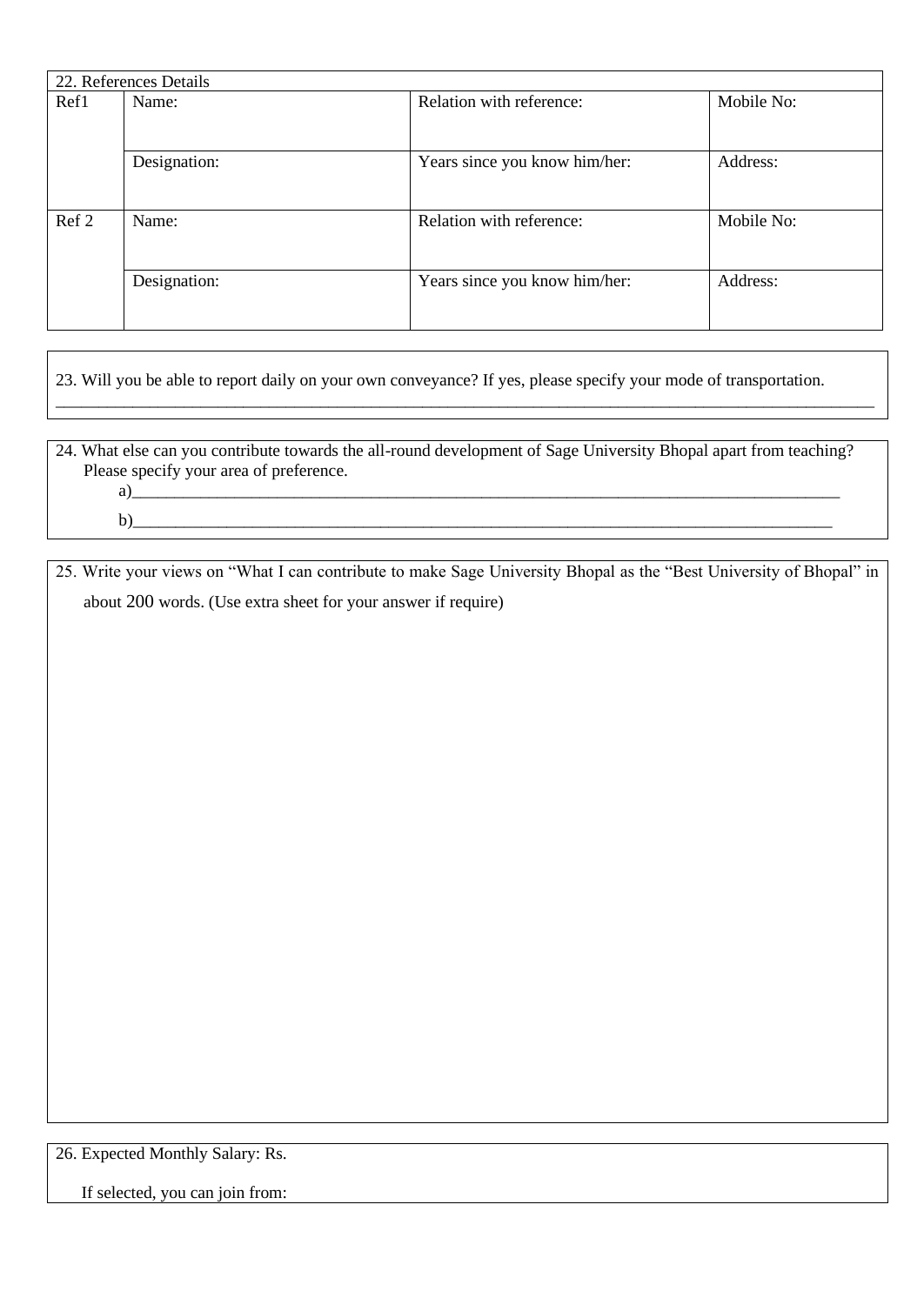|       | 22. References Details |                               |            |  |  |  |
|-------|------------------------|-------------------------------|------------|--|--|--|
| Ref1  | Name:                  | Relation with reference:      | Mobile No: |  |  |  |
|       |                        |                               |            |  |  |  |
|       | Designation:           | Years since you know him/her: | Address:   |  |  |  |
|       |                        |                               |            |  |  |  |
| Ref 2 | Name:                  | Relation with reference:      | Mobile No: |  |  |  |
|       |                        |                               |            |  |  |  |
|       | Designation:           | Years since you know him/her: | Address:   |  |  |  |
|       |                        |                               |            |  |  |  |

23. Will you be able to report daily on your own conveyance? If yes, please specify your mode of transportation.

24. What else can you contribute towards the all-round development of Sage University Bhopal apart from teaching? Please specify your area of preference. a)\_\_\_\_\_\_\_\_\_\_\_\_\_\_\_\_\_\_\_\_\_\_\_\_\_\_\_\_\_\_\_\_\_\_\_\_\_\_\_\_\_\_\_\_\_\_\_\_\_\_\_\_\_\_\_\_\_\_\_\_\_\_\_\_\_\_\_\_\_\_\_\_\_\_\_\_\_\_\_\_\_\_\_

\_\_\_\_\_\_\_\_\_\_\_\_\_\_\_\_\_\_\_\_\_\_\_\_\_\_\_\_\_\_\_\_\_\_\_\_\_\_\_\_\_\_\_\_\_\_\_\_\_\_\_\_\_\_\_\_\_\_\_\_\_\_\_\_\_\_\_\_\_\_\_\_\_\_\_\_\_\_\_\_\_\_\_\_\_\_\_\_\_\_\_\_\_\_\_\_

b)\_\_\_\_\_\_\_\_\_\_\_\_\_\_\_\_\_\_\_\_\_\_\_\_\_\_\_\_\_\_\_\_\_\_\_\_\_\_\_\_\_\_\_\_\_\_\_\_\_\_\_\_\_\_\_\_\_\_\_\_\_\_\_\_\_\_\_\_\_\_\_\_\_\_\_\_\_\_\_\_\_\_

25. Write your views on "What I can contribute to make Sage University Bhopal as the "Best University of Bhopal" in about 200 words. (Use extra sheet for your answer if require)

26. Expected Monthly Salary: Rs.

If selected, you can join from: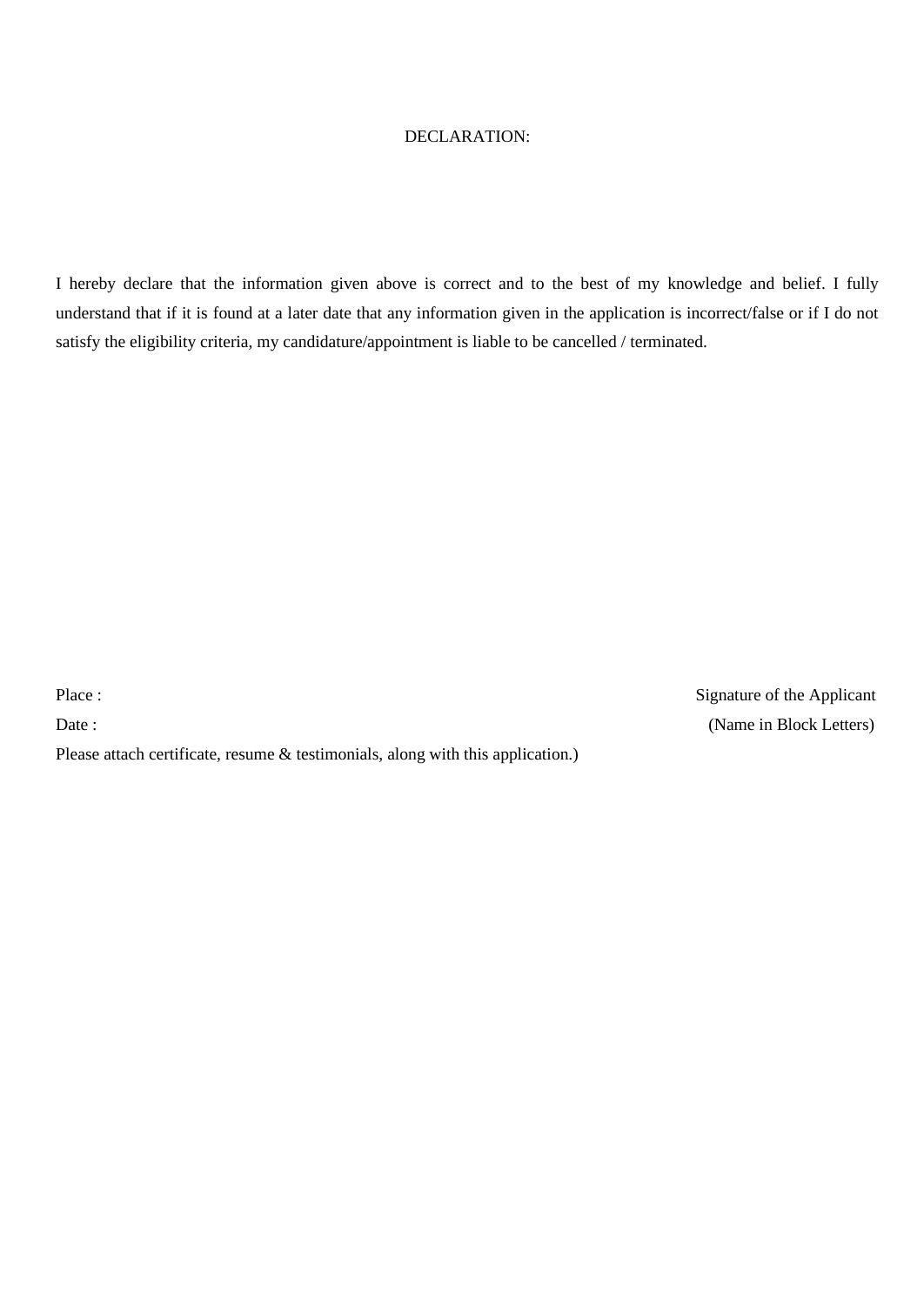## DECLARATION:

I hereby declare that the information given above is correct and to the best of my knowledge and belief. I fully understand that if it is found at a later date that any information given in the application is incorrect/false or if I do not satisfy the eligibility criteria, my candidature/appointment is liable to be cancelled / terminated.

Please attach certificate, resume & testimonials, along with this application.)

Place : Signature of the Applicant Date : (Name in Block Letters)